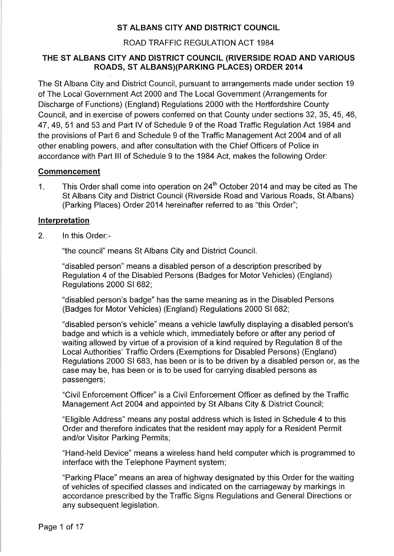## ST ALBANS CITY AND DISTRICT COUNCIL

#### ROAD TRAFFIC REGULATION ACT 1984

## THE ST ALBANS CITY AND DISTRICT COUNCIL (RIVERSIDE ROAD AND VARIOUS ROADS, ST ALBANS)(PARKING PLACES) ORDER 2014

The St Albans City and District Council, pursuant to arrangements made under section 19 of The Local Government Act 2000 and The Local Government (Arrangements for Discharge of Functions) (England) Regulations 2000 with the Hertfordshire County Council, and in exercise of powers conferred on that County under sections 32, 35, 45, 46, 47, 49, 51 and 53 and Part IV of Schedule 9 of the Road Traffic Regulation Act 1984 and the provisions of Part 6 and Schedule 9 of the Traffic Management Act 2004 and of all other enabling powers, and after consultation with the Chief Officers of Police in accordance with Part III of Schedule 9 to the 1984 Act, makes the following Order:

#### **Commencement**

This Order shall come into operation on 24<sup>th</sup> October 2014 and may be cited as The  $\mathbf 1$ . St Albans City and District Council (Riverside Road and Various Roads, St Albans) (Parking Places) Order 2014 hereinafter referred to as "this Order";

#### Interpretation

 $2.$ In this Order:-

"the council" means St Albans City and District Council.

"disabled person" means a disabled person of a description prescribed by Regulation 4 of the Disabled Persons (Badges for Motor Vehicles) (England) Regulations 2000 SI 682;

"disabled person's badge" has the same meaning as in the Disabled Persons (Badges for Motor Vehicles) (England) Regulations 2000 SI 682;

"disabled person's vehicle" means a vehicle lawfully displaying a disabled person's badge and which is a vehicle which, immediately before or after any period of waiting allowed by virtue of a provision of a kind required by Regulation 8 of the Local Authorities' Traffic Orders (Exemptions for Disabled Persons) (England) Regulations 2000 SI 683, has been or is to be driven by a disabled person or, as the case may be, has been or is to be used for carrying disabled persons as passengers;

"Civil Enforcement Officer" is a Civil Enforcement Officer as defined by the Traffic Management Act 2004 and appointed by St Albans City & District Council;

"Eligible Address" means any postal address which is listed in Schedule 4 to this Order and therefore indicates that the resident may apply for a Resident Permit and/or Visitor Parking Permits;

"Hand-held Device" means a wireless hand held computer which is programmed to interface with the Telephone Payment system;

"Parking Place" means an area of highway designated by this Order for the waiting of vehicles of specified classes and indicated on the carriageway by markings in accordance prescribed by the Traffic Signs Regulations and General Directions or any subsequent legislation.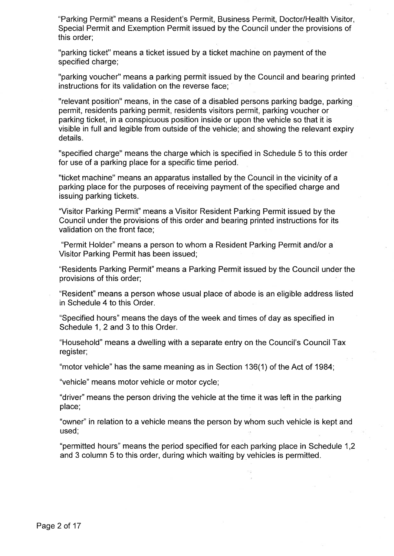"Parking Permit" means a Resident's Permit, Business Permit, Doctor/Health Visitor, Special Permit and Exemption Permit issued by the Council under the provisions of this order;

"parking ticket" means a ticket issued by a ticket machine on payment of the specified charge;

"parking voucher" means a parking permit issued by the Council and bearing printed instructions for its validation on the reverse face;

"relevant position" means, in the case of a disabled persons parking badge, parking permit, residents parking permit, residents visitors permit, parking voucher or parking ticket, in a conspicuous position inside or upon the vehicle so that it is visible in full and legible from outside of the vehicle; and showing the relevant expiry details.

"specified charge" means the charge which is specified in Schedule 5 to this order for use of a parking place for a specific time period.

"ticket machine" means an apparatus installed by the Council in the vicinity of a parking place for the purposes of receiving payment of the specified charge and issuing parking tickets.

"Visitor Parking Permit" means a Visitor Resident Parking Permit issued by the Council under the provisions of this order and bearing printed instructions for its validation on the front face;

"Permit Holder" means a person to whom a Resident Parking Permit and/or a Visitor Parking Permit has been issued;

"Residents Parking Permit" means a Parking Permit issued by the Council under the provisions of this order;

"Resident" means a person whose usual place of abode is an eligible address listed in Schedule 4 to this Order.

"Specified hours" means the days of the week and times of day as specified in Schedule 1, 2 and 3 to this Order.

"Household" means a dwelling with a separate entry on the Council's Council Tax register;

"motor vehicle" has the same meaning as in Section 136(1) of the Act of 1984;

"vehicle" means motor vehicle or motor cycle;

"driver" means the person driving the vehicle at the time it was left in the parking place;

"owner" in relation to a vehicle means the person by whom such vehicle is kept and used;

"permitted hours" means the period specified for each parking place in Schedule 1,2 and 3 column 5 to this order, during which waiting by vehicles is permitted.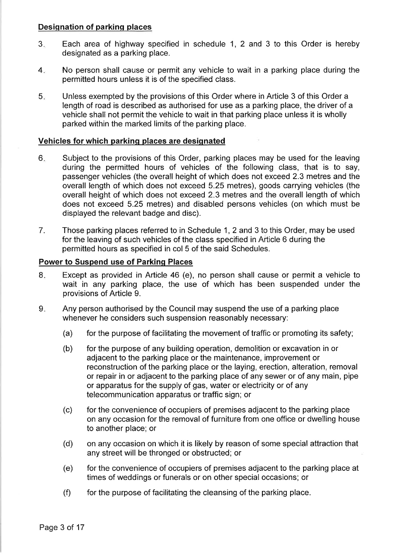## **Designation of parking places**

- $3_{-}$ Each area of highway specified in schedule 1, 2 and 3 to this Order is hereby designated as a parking place.
- $4.$ No person shall cause or permit any vehicle to wait in a parking place during the permitted hours unless it is of the specified class.
- $5.$ Unless exempted by the provisions of this Order where in Article 3 of this Order a length of road is described as authorised for use as a parking place, the driver of a vehicle shall not permit the vehicle to wait in that parking place unless it is wholly parked within the marked limits of the parking place.

## Vehicles for which parking places are designated

- 6. Subject to the provisions of this Order, parking places may be used for the leaving during the permitted hours of vehicles of the following class, that is to say, passenger vehicles (the overall height of which does not exceed 2.3 metres and the overall length of which does not exceed 5.25 metres), goods carrying vehicles (the overall height of which does not exceed 2.3 metres and the overall length of which does not exceed 5.25 metres) and disabled persons vehicles (on which must be displayed the relevant badge and disc).
- 7. Those parking places referred to in Schedule 1, 2 and 3 to this Order, may be used for the leaving of such vehicles of the class specified in Article 6 during the permitted hours as specified in col 5 of the said Schedules.

## **Power to Suspend use of Parking Places**

- Except as provided in Article 46 (e), no person shall cause or permit a vehicle to 8. wait in any parking place, the use of which has been suspended under the provisions of Article 9.
- 9. Any person authorised by the Council may suspend the use of a parking place whenever he considers such suspension reasonably necessary:
	- for the purpose of facilitating the movement of traffic or promoting its safety;  $(a)$
	- for the purpose of any building operation, demolition or excavation in or  $(b)$ adjacent to the parking place or the maintenance, improvement or reconstruction of the parking place or the laying, erection, alteration, removal or repair in or adjacent to the parking place of any sewer or of any main, pipe or apparatus for the supply of gas, water or electricity or of any telecommunication apparatus or traffic sign; or
	- $(c)$ for the convenience of occupiers of premises adjacent to the parking place on any occasion for the removal of furniture from one office or dwelling house to another place; or
	- on any occasion on which it is likely by reason of some special attraction that  $(d)$ any street will be thronged or obstructed; or
	- for the convenience of occupiers of premises adjacent to the parking place at  $(e)$ times of weddings or funerals or on other special occasions; or
	- $(f)$ for the purpose of facilitating the cleansing of the parking place.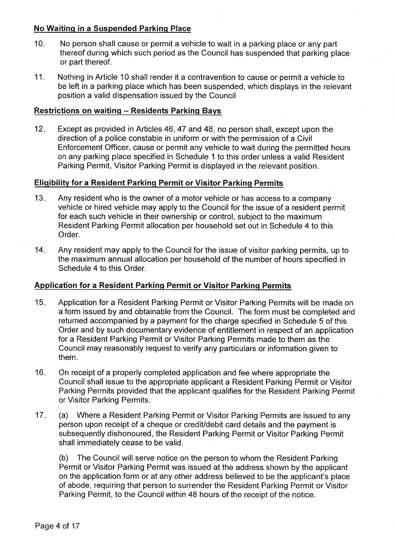## No Waiting in a Suspended Parking Place

- $10.$ No person shall cause or permit a vehicle to wait in a parking place or any part thereof during which such period as the Council has suspended that parking place or part thereof.
- 11. Nothing in Article 10 shall render it a contravention to cause or permit a vehicle to be left in a parking place which has been suspended, which displays in the relevant position a valid dispensation issued by the Council

## **Restrictions on waiting - Residents Parking Bays**

 $12.$ Except as provided in Articles 46, 47 and 48, no person shall, except upon the direction of a police constable in uniform or with the permission of a Civil Enforcement Officer, cause or permit any vehicle to wait during the permitted hours on any parking place specified in Schedule 1 to this order unless a valid Resident Parking Permit, Visitor Parking Permit is displayed in the relevant position.

## **Eligibility for a Resident Parking Permit or Visitor Parking Permits**

- $13.$ Any resident who is the owner of a motor vehicle or has access to a company vehicle or hired vehicle may apply to the Council for the issue of a resident permit for each such vehicle in their ownership or control, subject to the maximum Resident Parking Permit allocation per household set out in Schedule 4 to this Order.
- $14.$ Any resident may apply to the Council for the issue of visitor parking permits, up to the maximum annual allocation per household of the number of hours specified in Schedule 4 to this Order.

## **Application for a Resident Parking Permit or Visitor Parking Permits**

- $15.$ Application for a Resident Parking Permit or Visitor Parking Permits will be made on a form issued by and obtainable from the Council. The form must be completed and returned accompanied by a payment for the charge specified in Schedule 5 of this Order and by such documentary evidence of entitlement in respect of an application for a Resident Parking Permit or Visitor Parking Permits made to them as the Council may reasonably request to verify any particulars or information given to them.
- $16.$ On receipt of a properly completed application and fee where appropriate the Council shall issue to the appropriate applicant a Resident Parking Permit or Visitor Parking Permits provided that the applicant qualifies for the Resident Parking Permit or Visitor Parking Permits.
- $17.$  $(a)$ Where a Resident Parking Permit or Visitor Parking Permits are issued to any person upon receipt of a cheque or credit/debit card details and the payment is subsequently dishonoured, the Resident Parking Permit or Visitor Parking Permit shall immediately cease to be valid.

 $(b)$ The Council will serve notice on the person to whom the Resident Parking Permit or Visitor Parking Permit was issued at the address shown by the applicant on the application form or at any other address believed to be the applicant's place of abode, requiring that person to surrender the Resident Parking Permit or Visitor Parking Permit, to the Council within 48 hours of the receipt of the notice.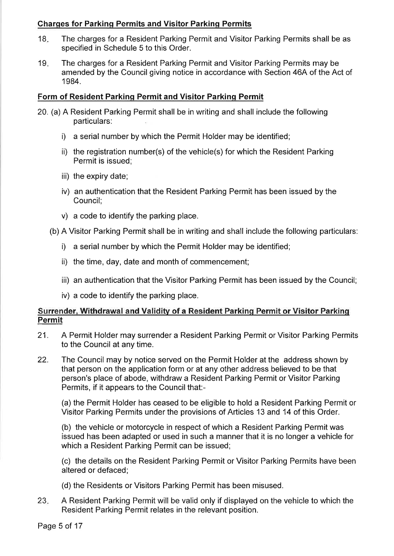## **Charges for Parking Permits and Visitor Parking Permits**

- The charges for a Resident Parking Permit and Visitor Parking Permits shall be as 18. specified in Schedule 5 to this Order.
- $19<sub>1</sub>$ The charges for a Resident Parking Permit and Visitor Parking Permits may be amended by the Council giving notice in accordance with Section 46A of the Act of 1984.

## Form of Resident Parking Permit and Visitor Parking Permit

- 20. (a) A Resident Parking Permit shall be in writing and shall include the following particulars:
	- i) a serial number by which the Permit Holder may be identified;
	- ii) the registration number(s) of the vehicle(s) for which the Resident Parking Permit is issued:
	- iii) the expiry date;
	- iv) an authentication that the Resident Parking Permit has been issued by the Council:
	- v) a code to identify the parking place.
	- (b) A Visitor Parking Permit shall be in writing and shall include the following particulars:
		- i) a serial number by which the Permit Holder may be identified;
		- ii) the time, day, date and month of commencement;
		- iii) an authentication that the Visitor Parking Permit has been issued by the Council;
		- iv) a code to identify the parking place.

## Surrender, Withdrawal and Validity of a Resident Parking Permit or Visitor Parking Permit

- 21. A Permit Holder may surrender a Resident Parking Permit or Visitor Parking Permits to the Council at any time.
- 22. The Council may by notice served on the Permit Holder at the address shown by that person on the application form or at any other address believed to be that person's place of abode, withdraw a Resident Parking Permit or Visitor Parking Permits, if it appears to the Council that:-

(a) the Permit Holder has ceased to be eligible to hold a Resident Parking Permit or Visitor Parking Permits under the provisions of Articles 13 and 14 of this Order.

(b) the vehicle or motorcycle in respect of which a Resident Parking Permit was issued has been adapted or used in such a manner that it is no longer a vehicle for which a Resident Parking Permit can be issued;

(c) the details on the Resident Parking Permit or Visitor Parking Permits have been altered or defaced;

- (d) the Residents or Visitors Parking Permit has been misused.
- 23. A Resident Parking Permit will be valid only if displayed on the vehicle to which the Resident Parking Permit relates in the relevant position.

Page 5 of 17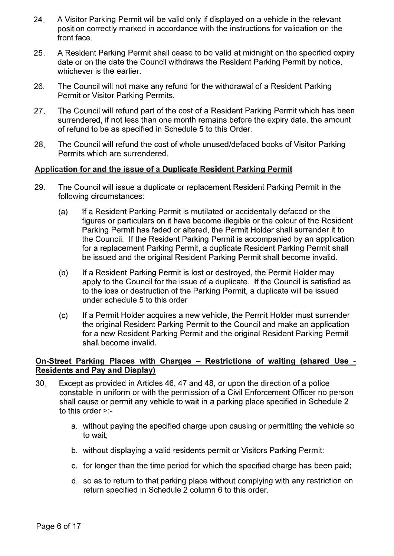- $24.$ A Visitor Parking Permit will be valid only if displayed on a vehicle in the relevant position correctly marked in accordance with the instructions for validation on the front face.
- 25. A Resident Parking Permit shall cease to be valid at midnight on the specified expiry date or on the date the Council withdraws the Resident Parking Permit by notice, whichever is the earlier.
- 26. The Council will not make any refund for the withdrawal of a Resident Parking Permit or Visitor Parking Permits.
- $27.$ The Council will refund part of the cost of a Resident Parking Permit which has been surrendered, if not less than one month remains before the expiry date, the amount of refund to be as specified in Schedule 5 to this Order.
- The Council will refund the cost of whole unused/defaced books of Visitor Parking 28. Permits which are surrendered.

## Application for and the issue of a Duplicate Resident Parking Permit

- 29. The Council will issue a duplicate or replacement Resident Parking Permit in the following circumstances:
	- If a Resident Parking Permit is mutilated or accidentally defaced or the  $(a)$ figures or particulars on it have become illegible or the colour of the Resident Parking Permit has faded or altered, the Permit Holder shall surrender it to the Council. If the Resident Parking Permit is accompanied by an application for a replacement Parking Permit, a duplicate Resident Parking Permit shall be issued and the original Resident Parking Permit shall become invalid.
	- $(b)$ If a Resident Parking Permit is lost or destroyed, the Permit Holder may apply to the Council for the issue of a duplicate. If the Council is satisfied as to the loss or destruction of the Parking Permit, a duplicate will be issued under schedule 5 to this order
	- $(c)$ If a Permit Holder acquires a new vehicle, the Permit Holder must surrender the original Resident Parking Permit to the Council and make an application for a new Resident Parking Permit and the original Resident Parking Permit shall become invalid.

## On-Street Parking Places with Charges - Restrictions of waiting (shared Use -**Residents and Pay and Display)**

- $30.$ Except as provided in Articles 46, 47 and 48, or upon the direction of a police constable in uniform or with the permission of a Civil Enforcement Officer no person shall cause or permit any vehicle to wait in a parking place specified in Schedule 2 to this order  $\ge$ :
	- a. without paying the specified charge upon causing or permitting the vehicle so to wait:
	- b. without displaying a valid residents permit or Visitors Parking Permit:
	- c. for longer than the time period for which the specified charge has been paid;
	- d. so as to return to that parking place without complying with any restriction on return specified in Schedule 2 column 6 to this order.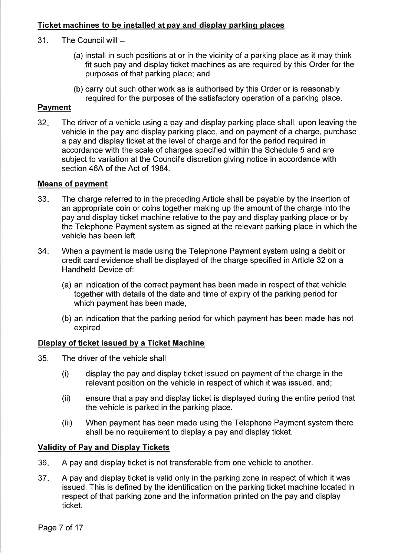## Ticket machines to be installed at pay and display parking places

- $31.$ The Council will  $-$ 
	- (a) install in such positions at or in the vicinity of a parking place as it may think fit such pay and display ticket machines as are required by this Order for the purposes of that parking place; and
	- (b) carry out such other work as is authorised by this Order or is reasonably required for the purposes of the satisfactory operation of a parking place.

## **Payment**

 $32.$ The driver of a vehicle using a pay and display parking place shall, upon leaving the vehicle in the pay and display parking place, and on payment of a charge, purchase a pay and display ticket at the level of charge and for the period required in accordance with the scale of charges specified within the Schedule 5 and are subject to variation at the Council's discretion giving notice in accordance with section 46A of the Act of 1984.

#### **Means of payment**

- 33. The charge referred to in the preceding Article shall be payable by the insertion of an appropriate coin or coins together making up the amount of the charge into the pay and display ticket machine relative to the pay and display parking place or by the Telephone Payment system as signed at the relevant parking place in which the vehicle has been left.
- $34.$ When a payment is made using the Telephone Payment system using a debit or credit card evidence shall be displayed of the charge specified in Article 32 on a Handheld Device of:
	- (a) an indication of the correct payment has been made in respect of that vehicle together with details of the date and time of expiry of the parking period for which payment has been made,
	- (b) an indication that the parking period for which payment has been made has not expired

#### Display of ticket issued by a Ticket Machine

- 35. The driver of the vehicle shall
	- display the pay and display ticket issued on payment of the charge in the  $(i)$ relevant position on the vehicle in respect of which it was issued, and;
	- ensure that a pay and display ticket is displayed during the entire period that  $(ii)$ the vehicle is parked in the parking place.
	- When payment has been made using the Telephone Payment system there  $(iii)$ shall be no requirement to display a pay and display ticket.

## **Validity of Pay and Display Tickets**

- A pay and display ticket is not transferable from one vehicle to another. 36.
- $37.$ A pay and display ticket is valid only in the parking zone in respect of which it was issued. This is defined by the identification on the parking ticket machine located in respect of that parking zone and the information printed on the pay and display ticket.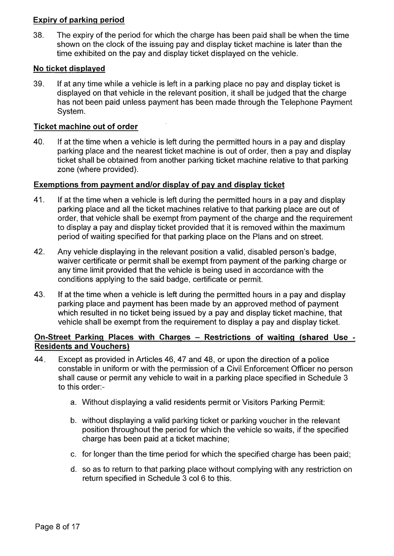## **Expiry of parking period**

38. The expiry of the period for which the charge has been paid shall be when the time shown on the clock of the issuing pay and display ticket machine is later than the time exhibited on the pay and display ticket displayed on the vehicle.

## No ticket displayed

39. If at any time while a vehicle is left in a parking place no pay and display ticket is displayed on that vehicle in the relevant position, it shall be judged that the charge has not been paid unless payment has been made through the Telephone Payment System.

## **Ticket machine out of order**

40. If at the time when a vehicle is left during the permitted hours in a pay and display parking place and the nearest ticket machine is out of order, then a pay and display ticket shall be obtained from another parking ticket machine relative to that parking zone (where provided).

## Exemptions from payment and/or display of pay and display ticket

- 41. If at the time when a vehicle is left during the permitted hours in a pay and display parking place and all the ticket machines relative to that parking place are out of order, that vehicle shall be exempt from payment of the charge and the requirement to display a pay and display ticket provided that it is removed within the maximum period of waiting specified for that parking place on the Plans and on street.
- 42. Any vehicle displaying in the relevant position a valid, disabled person's badge, waiver certificate or permit shall be exempt from payment of the parking charge or any time limit provided that the vehicle is being used in accordance with the conditions applying to the said badge, certificate or permit.
- 43. If at the time when a vehicle is left during the permitted hours in a pay and display parking place and payment has been made by an approved method of payment which resulted in no ticket being issued by a pay and display ticket machine, that vehicle shall be exempt from the requirement to display a pay and display ticket.

## On-Street Parking Places with Charges - Restrictions of waiting (shared Use -**Residents and Vouchers)**

- 44. Except as provided in Articles 46, 47 and 48, or upon the direction of a police constable in uniform or with the permission of a Civil Enforcement Officer no person shall cause or permit any vehicle to wait in a parking place specified in Schedule 3 to this order:
	- a. Without displaying a valid residents permit or Visitors Parking Permit:
	- b. without displaying a valid parking ticket or parking voucher in the relevant position throughout the period for which the vehicle so waits, if the specified charge has been paid at a ticket machine;
	- c. for longer than the time period for which the specified charge has been paid;
	- d. so as to return to that parking place without complying with any restriction on return specified in Schedule 3 col 6 to this.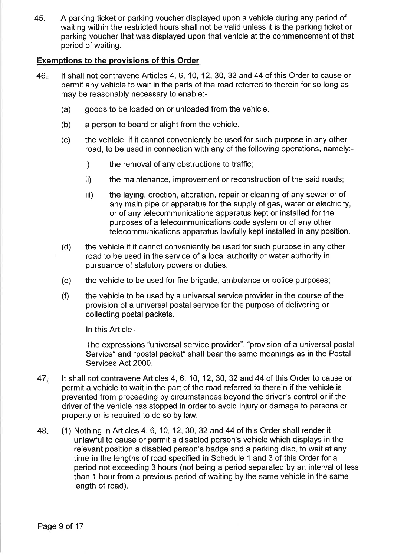45. A parking ticket or parking voucher displayed upon a vehicle during any period of waiting within the restricted hours shall not be valid unless it is the parking ticket or parking voucher that was displayed upon that vehicle at the commencement of that period of waiting.

## **Exemptions to the provisions of this Order**

- 46. It shall not contravene Articles 4, 6, 10, 12, 30, 32 and 44 of this Order to cause or permit any vehicle to wait in the parts of the road referred to therein for so long as may be reasonably necessary to enable:-
	- $(a)$ goods to be loaded on or unloaded from the vehicle.
	- $(b)$ a person to board or alight from the vehicle.
	- the vehicle, if it cannot conveniently be used for such purpose in any other  $(c)$ road, to be used in connection with any of the following operations, namely:-
		- $\mathsf{i}$ the removal of any obstructions to traffic;
		- ii) the maintenance, improvement or reconstruction of the said roads;
		- iii) the laying, erection, alteration, repair or cleaning of any sewer or of any main pipe or apparatus for the supply of gas, water or electricity, or of any telecommunications apparatus kept or installed for the purposes of a telecommunications code system or of any other telecommunications apparatus lawfully kept installed in any position.
	- the vehicle if it cannot conveniently be used for such purpose in any other  $(d)$ road to be used in the service of a local authority or water authority in pursuance of statutory powers or duties.
	- the vehicle to be used for fire brigade, ambulance or police purposes;  $(e)$
	- $(f)$ the vehicle to be used by a universal service provider in the course of the provision of a universal postal service for the purpose of delivering or collecting postal packets.

In this Article  $-$ 

The expressions "universal service provider", "provision of a universal postal Service" and "postal packet" shall bear the same meanings as in the Postal Services Act 2000.

- It shall not contravene Articles 4, 6, 10, 12, 30, 32 and 44 of this Order to cause or 47. permit a vehicle to wait in the part of the road referred to therein if the vehicle is prevented from proceeding by circumstances beyond the driver's control or if the driver of the vehicle has stopped in order to avoid injury or damage to persons or property or is required to do so by law.
- 48. (1) Nothing in Articles 4, 6, 10, 12, 30, 32 and 44 of this Order shall render it unlawful to cause or permit a disabled person's vehicle which displays in the relevant position a disabled person's badge and a parking disc, to wait at any time in the lengths of road specified in Schedule 1 and 3 of this Order for a period not exceeding 3 hours (not being a period separated by an interval of less than 1 hour from a previous period of waiting by the same vehicle in the same length of road).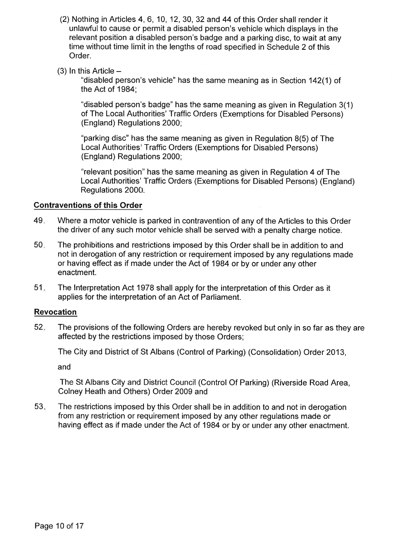- (2) Nothing in Articles 4, 6, 10, 12, 30, 32 and 44 of this Order shall render it unlawful to cause or permit a disabled person's vehicle which displays in the relevant position a disabled person's badge and a parking disc, to wait at any time without time limit in the lengths of road specified in Schedule 2 of this Order.
- $(3)$  In this Article –

"disabled person's vehicle" has the same meaning as in Section 142(1) of the Act of 1984;

"disabled person's badge" has the same meaning as given in Regulation 3(1) of The Local Authorities' Traffic Orders (Exemptions for Disabled Persons) (England) Regulations 2000;

"parking disc" has the same meaning as given in Regulation 8(5) of The Local Authorities' Traffic Orders (Exemptions for Disabled Persons) (England) Regulations 2000;

"relevant position" has the same meaning as given in Regulation 4 of The Local Authorities' Traffic Orders (Exemptions for Disabled Persons) (England) Regulations 2000.

## **Contraventions of this Order**

- 49. Where a motor vehicle is parked in contravention of any of the Articles to this Order the driver of any such motor vehicle shall be served with a penalty charge notice.
- 50. The prohibitions and restrictions imposed by this Order shall be in addition to and not in derogation of any restriction or requirement imposed by any requiations made or having effect as if made under the Act of 1984 or by or under any other enactment.
- 51. The Interpretation Act 1978 shall apply for the interpretation of this Order as it applies for the interpretation of an Act of Parliament.

## **Revocation**

 $52.$ The provisions of the following Orders are hereby revoked but only in so far as they are affected by the restrictions imposed by those Orders;

The City and District of St Albans (Control of Parking) (Consolidation) Order 2013,

and

The St Albans City and District Council (Control Of Parking) (Riverside Road Area, Colney Heath and Others) Order 2009 and

 $53.$ The restrictions imposed by this Order shall be in addition to and not in derogation from any restriction or requirement imposed by any other regulations made or having effect as if made under the Act of 1984 or by or under any other enactment.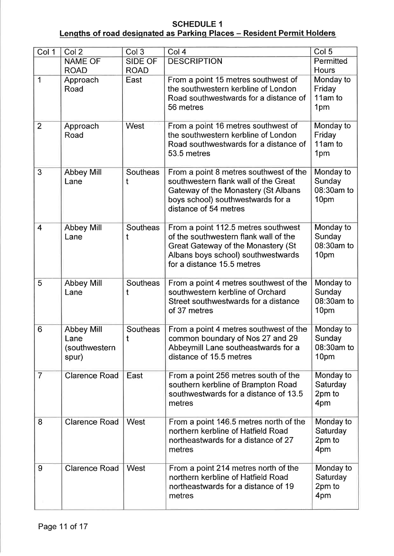## **SCHEDULE 1** Lengths of road designated as Parking Places - Resident Permit Holders

| Col 1          | Col <sub>2</sub>                                    | Col 3                | Col <sub>4</sub>                                                                                                                                                                       | Col <sub>5</sub>                          |
|----------------|-----------------------------------------------------|----------------------|----------------------------------------------------------------------------------------------------------------------------------------------------------------------------------------|-------------------------------------------|
|                | <b>NAME OF</b>                                      | <b>SIDE OF</b>       | <b>DESCRIPTION</b>                                                                                                                                                                     | Permitted                                 |
|                | <b>ROAD</b>                                         | <b>ROAD</b>          |                                                                                                                                                                                        | Hours                                     |
| 1              | Approach<br>Road                                    | East                 | From a point 15 metres southwest of<br>the southwestern kerbline of London<br>Road southwestwards for a distance of<br>56 metres                                                       | Monday to<br>Friday<br>11am to<br>1pm     |
| $\overline{2}$ | Approach<br>Road                                    | West                 | From a point 16 metres southwest of<br>the southwestern kerbline of London<br>Road southwestwards for a distance of<br>53.5 metres                                                     | Monday to<br>Friday<br>11am to<br>1pm     |
| 3              | <b>Abbey Mill</b><br>Lane                           | Southeas<br>t        | From a point 8 metres southwest of the<br>southwestern flank wall of the Great<br>Gateway of the Monastery (St Albans<br>boys school) southwestwards for a<br>distance of 54 metres    | Monday to<br>Sunday<br>08:30am to<br>10pm |
| $\overline{4}$ | <b>Abbey Mill</b><br>Lane                           | Southeas<br>t        | From a point 112.5 metres southwest<br>of the southwestern flank wall of the<br>Great Gateway of the Monastery (St<br>Albans boys school) southwestwards<br>for a distance 15.5 metres | Monday to<br>Sunday<br>08:30am to<br>10pm |
| 5              | <b>Abbey Mill</b><br>Lane                           | <b>Southeas</b><br>t | From a point 4 metres southwest of the<br>southwestern kerbline of Orchard<br>Street southwestwards for a distance<br>of 37 metres                                                     | Monday to<br>Sunday<br>08:30am to<br>10pm |
| 6              | <b>Abbey Mill</b><br>Lane<br>(southwestern<br>spur) | Southeas<br>t        | From a point 4 metres southwest of the<br>common boundary of Nos 27 and 29<br>Abbeymill Lane southeastwards for a<br>distance of 15.5 metres                                           | Monday to<br>Sunday<br>08:30am to<br>10pm |
| $\overline{7}$ | <b>Clarence Road</b>                                | East                 | From a point 256 metres south of the<br>southern kerbline of Brampton Road<br>southwestwards for a distance of 13.5<br>metres                                                          | Monday to<br>Saturday<br>2pm to<br>4pm    |
| 8              | <b>Clarence Road</b>                                | West                 | From a point 146.5 metres north of the<br>northern kerbline of Hatfield Road<br>northeastwards for a distance of 27<br>metres                                                          | Monday to<br>Saturday<br>2pm to<br>4pm    |
| 9              | <b>Clarence Road</b>                                | West                 | From a point 214 metres north of the<br>northern kerbline of Hatfield Road<br>northeastwards for a distance of 19<br>metres                                                            | Monday to<br>Saturday<br>2pm to<br>4pm    |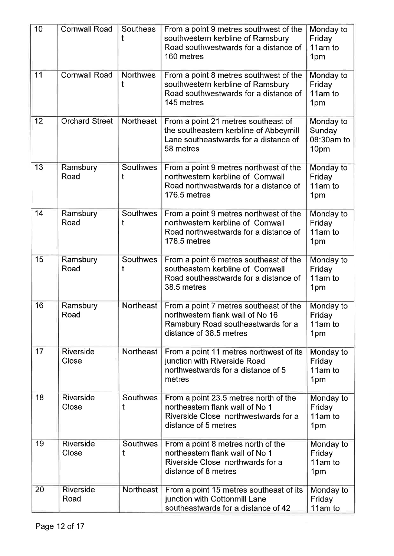| 10 | <b>Cornwall Road</b>      | Southeas<br>t        | From a point 9 metres southwest of the<br>southwestern kerbline of Ramsbury<br>Road southwestwards for a distance of<br>160 metres          | Monday to<br>Friday<br>11am to<br>1pm             |
|----|---------------------------|----------------------|---------------------------------------------------------------------------------------------------------------------------------------------|---------------------------------------------------|
| 11 | <b>Cornwall Road</b>      | <b>Northwes</b><br>t | From a point 8 metres southwest of the<br>southwestern kerbline of Ramsbury<br>Road southwestwards for a distance of<br>145 metres          | Monday to<br>Friday<br>11am to<br>1pm             |
| 12 | <b>Orchard Street</b>     | Northeast            | From a point 21 metres southeast of<br>the southeastern kerbline of Abbeymill<br>Lane southeastwards for a distance of<br>58 metres         | Monday to<br>Sunday<br>08:30am to<br>10pm         |
| 13 | Ramsbury<br>Road          | <b>Southwes</b><br>t | From a point 9 metres northwest of the<br>northwestern kerbline of Cornwall<br>Road northwestwards for a distance of<br>176.5 metres        | Monday to<br>Friday<br>11am to<br>1pm             |
| 14 | Ramsbury<br>Road          | <b>Southwes</b><br>t | From a point 9 metres northwest of the<br>northwestern kerbline of Cornwall<br>Road northwestwards for a distance of<br>178.5 metres        | Monday to<br>Friday<br>11am to<br>1pm             |
| 15 | Ramsbury<br>Road          | <b>Southwes</b><br>t | From a point 6 metres southeast of the<br>southeastern kerbline of Cornwall<br>Road southeastwards for a distance of<br>38.5 metres         | Monday to<br>Friday<br>11am to<br>1pm             |
| 16 | Ramsbury<br>Road          | <b>Northeast</b>     | From a point 7 metres southeast of the<br>northwestern flank wall of No 16<br>Ramsbury Road southeastwards for a<br>distance of 38.5 metres | Monday to<br>Friday<br>11am to<br>1 <sub>pm</sub> |
| 17 | Riverside<br>Close        | <b>Northeast</b>     | From a point 11 metres northwest of its<br>junction with Riverside Road<br>northwestwards for a distance of 5<br>metres                     | Monday to<br>Friday<br>11am to<br>1pm             |
| 18 | Riverside<br>Close        | Southwes<br>t        | From a point 23.5 metres north of the<br>northeastern flank wall of No 1<br>Riverside Close northwestwards for a<br>distance of 5 metres    | Monday to<br>Friday<br>11am to<br>1pm             |
| 19 | <b>Riverside</b><br>Close | <b>Southwes</b><br>t | From a point 8 metres north of the<br>northeastern flank wall of No 1<br>Riverside Close northwards for a<br>distance of 8 metres           | Monday to<br>Friday<br>11am to<br>1pm             |
| 20 | Riverside<br>Road         | <b>Northeast</b>     | From a point 15 metres southeast of its<br>junction with Cottonmill Lane<br>southeastwards for a distance of 42                             | Monday to<br>Friday<br>11am to                    |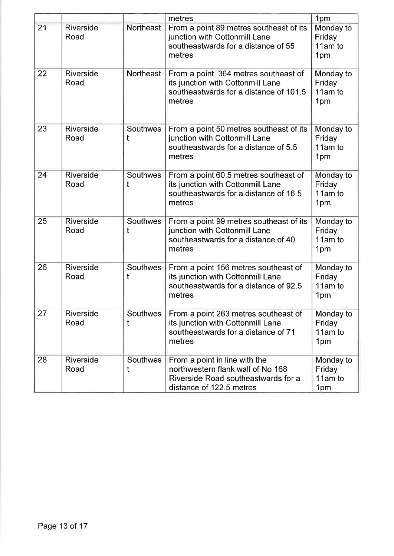|    |                          |                      | metres                                                                                                                                | 1pm                                   |
|----|--------------------------|----------------------|---------------------------------------------------------------------------------------------------------------------------------------|---------------------------------------|
| 21 | Riverside<br>Road        | Northeast            | From a point 89 metres southeast of its<br>junction with Cottonmill Lane<br>southeastwards for a distance of 55<br>metres             | Monday to<br>Friday<br>11am to<br>1pm |
| 22 | Riverside<br>Road        | <b>Northeast</b>     | From a point 364 metres southeast of<br>its junction with Cottonmill Lane<br>southeastwards for a distance of 101.5<br>metres         | Monday to<br>Friday<br>11am to<br>1pm |
| 23 | Riverside<br>Road        | Southwes<br>t        | From a point 50 metres southeast of its<br>junction with Cottonmill Lane<br>southeastwards for a distance of 5.5<br>metres            | Monday to<br>Friday<br>11am to<br>1pm |
| 24 | <b>Riverside</b><br>Road | Southwes<br>t        | From a point 60.5 metres southeast of<br>its junction with Cottonmill Lane<br>southeastwards for a distance of 16.5<br>metres         | Monday to<br>Friday<br>11am to<br>1pm |
| 25 | <b>Riverside</b><br>Road | Southwes<br>t        | From a point 99 metres southeast of its<br>junction with Cottonmill Lane<br>southeastwards for a distance of 40<br>metres             | Monday to<br>Friday<br>11am to<br>1pm |
| 26 | <b>Riverside</b><br>Road | <b>Southwes</b><br>t | From a point 156 metres southeast of<br>its junction with Cottonmill Lane<br>southeastwards for a distance of 92.5<br>metres          | Monday to<br>Friday<br>11am to<br>1pm |
| 27 | <b>Riverside</b><br>Road | Southwes<br>t        | From a point 263 metres southeast of<br>its junction with Cottonmill Lane<br>southeastwards for a distance of 71<br>metres            | Monday to<br>Friday<br>11am to<br>1pm |
| 28 | Riverside<br>Road        | <b>Southwes</b>      | From a point in line with the<br>northwestern flank wall of No 168<br>Riverside Road southeastwards for a<br>distance of 122.5 metres | Monday to<br>Friday<br>11am to<br>1pm |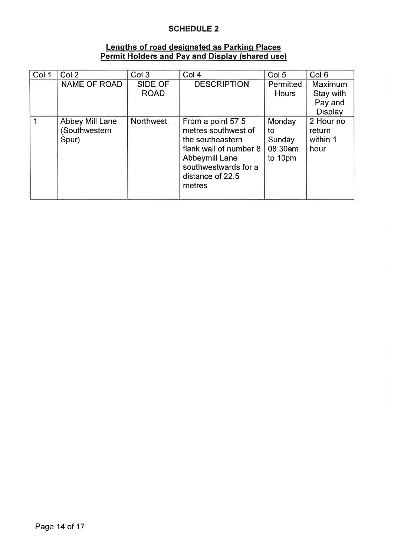## **SCHEDULE 2**

# <u>Lengths of road designated as Parking Places</u><br>Permit Holders and Pay and Display (shared use)</u>

| Col 1 | Col <sub>2</sub>                         | Col <sub>3</sub>       | Col <sub>4</sub>                                                                                                                                               | Col <sub>5</sub>                             | Col <sub>6</sub>                                  |
|-------|------------------------------------------|------------------------|----------------------------------------------------------------------------------------------------------------------------------------------------------------|----------------------------------------------|---------------------------------------------------|
|       | <b>NAME OF ROAD</b>                      | SIDE OF<br><b>ROAD</b> | <b>DESCRIPTION</b>                                                                                                                                             | Permitted<br><b>Hours</b>                    | Maximum<br>Stay with<br>Pay and<br><b>Display</b> |
|       | Abbey Mill Lane<br>Southwestern<br>Spur) | Northwest              | From a point 57.5<br>metres southwest of<br>the southeastern<br>flank wall of number 8<br>Abbeymill Lane<br>southwestwards for a<br>distance of 22.5<br>metres | Monday<br>to<br>Sunday<br>08:30am<br>to 10pm | 2 Hour no<br>return<br>within 1<br>hour           |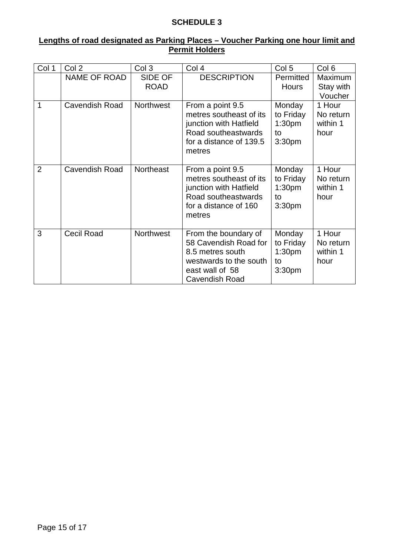## **SCHEDULE 3**

## **Lengths of road designated as Parking Places – Voucher Parking one hour limit and Permit Holders**

| Col 1          | Col 2                 | Col 3                         | Col 4                                                                                                                             | Col <sub>5</sub>                                                      | Col <sub>6</sub>                        |
|----------------|-----------------------|-------------------------------|-----------------------------------------------------------------------------------------------------------------------------------|-----------------------------------------------------------------------|-----------------------------------------|
|                | NAME OF ROAD          | <b>SIDE OF</b><br><b>ROAD</b> | <b>DESCRIPTION</b>                                                                                                                | Permitted<br><b>Hours</b>                                             | Maximum<br>Stay with<br>Voucher         |
| 1              | <b>Cavendish Road</b> | <b>Northwest</b>              | From a point 9.5<br>metres southeast of its<br>junction with Hatfield<br>Road southeastwards<br>for a distance of 139.5<br>metres | Monday<br>to Friday<br>1:30 <sub>pm</sub><br>to<br>3:30 <sub>pm</sub> | 1 Hour<br>No return<br>within 1<br>hour |
| $\overline{2}$ | <b>Cavendish Road</b> | <b>Northeast</b>              | From a point 9.5<br>metres southeast of its<br>junction with Hatfield<br>Road southeastwards<br>for a distance of 160<br>metres   | Monday<br>to Friday<br>1:30 <sub>pm</sub><br>to<br>3:30 <sub>pm</sub> | 1 Hour<br>No return<br>within 1<br>hour |
| 3              | <b>Cecil Road</b>     | <b>Northwest</b>              | From the boundary of<br>58 Cavendish Road for<br>8.5 metres south<br>westwards to the south<br>east wall of 58<br>Cavendish Road  | Monday<br>to Friday<br>1:30 <sub>pm</sub><br>to<br>3:30pm             | 1 Hour<br>No return<br>within 1<br>hour |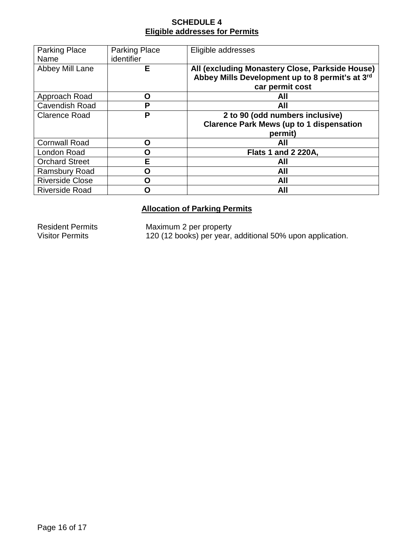## **SCHEDULE 4 Eligible addresses for Permits**

| <b>Parking Place</b>   | <b>Parking Place</b> | Eligible addresses                              |  |
|------------------------|----------------------|-------------------------------------------------|--|
| Name                   | <i>identifier</i>    |                                                 |  |
| Abbey Mill Lane        | Е                    | All (excluding Monastery Close, Parkside House) |  |
|                        |                      | Abbey Mills Development up to 8 permit's at 3rd |  |
|                        |                      | car permit cost                                 |  |
| Approach Road          | O                    | AII                                             |  |
| <b>Cavendish Road</b>  | P                    | All                                             |  |
| <b>Clarence Road</b>   | P                    | 2 to 90 (odd numbers inclusive)                 |  |
|                        |                      | <b>Clarence Park Mews (up to 1 dispensation</b> |  |
|                        |                      | permit)                                         |  |
| <b>Cornwall Road</b>   | O                    | All                                             |  |
| London Road            | O                    | <b>Flats 1 and 2 220A,</b>                      |  |
| <b>Orchard Street</b>  | E                    | All                                             |  |
| <b>Ramsbury Road</b>   | n                    | All                                             |  |
| <b>Riverside Close</b> | n                    | All                                             |  |
| <b>Riverside Road</b>  |                      | All                                             |  |

# **Allocation of Parking Permits**

Resident Permits Maximum 2 per property Visitor Permits 120 (12 books) per year, additional 50% upon application.